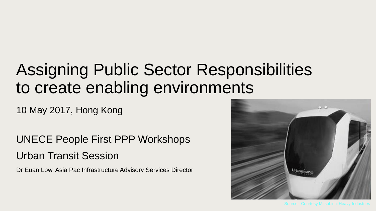## Assigning Public Sector Responsibilities to create enabling environments

10 May 2017, Hong Kong

UNECE People First PPP Workshops Urban Transit Session

Dr Euan Low, Asia Pac Infrastructure Advisory Services Director

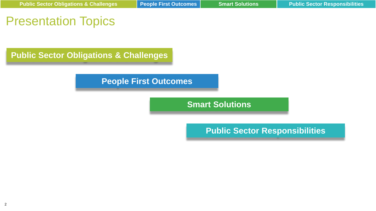## Presentation Topics

**Public Sector Obligations & Challenges**

### **People First Outcomes**

**Smart Solutions**

**Public Sector Responsibilities**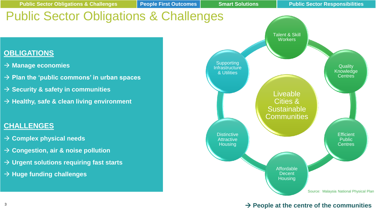

#### $\rightarrow$  People at the centre of the communities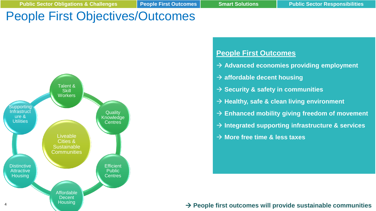## People First Objectives/Outcomes



#### **People First Outcomes**

- $\rightarrow$  Advanced economies providing employment
- **affordable decent housing**
- $\rightarrow$  Security & safety in communities
- $→$  **Healthy, safe & clean living environment**
- **Enhanced mobility giving freedom of movement**
- **Integrated supporting infrastructure & services**
- **More free time & less taxes**

**People first outcomes will provide sustainable communities** <sup>4</sup>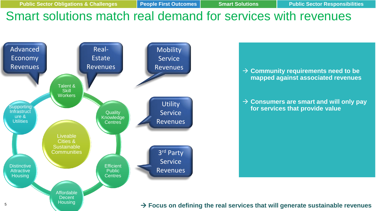Outcomes

## Smart solutions match real demand for services with revenues



**B** → Community requirements need to be **mapped against associated revenues**

Communities at the centre of the developments

 **Consumers are smart and will only pay for services that provide value**

 $\blacksquare$  Focus on defining the real services that will generate sustainable revenues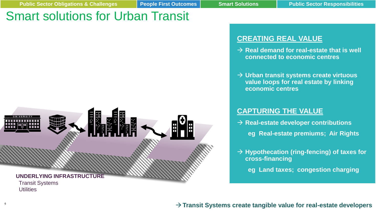## Smart solutions for Urban Transit



#### **CREATING REAL VALUE**

- $\rightarrow$  **Real demand for real-estate that is well connected to economic centres**
- **Urban transit systems create virtuous value loops for real estate by linking economic centres**

#### **CAPTURING THE VALUE**

- $→$  **Real-estate developer contributions eg Real-estate premiums; Air Rights**
- **Hypothecation (ring-fencing) of taxes for cross-financing**
	- **eg Land taxes; congestion charging**

#### **Transit Systems create tangible value for real-estate developers** <sup>6</sup>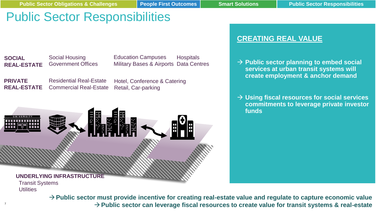## Public Sector Responsibilities

**SOCIAL REAL-ESTATE** Social Housing Government Offices

**Hospitals** Military Bases & Airports Data Centres Education Campuses

**PRIVATE REAL-ESTATE** Residential Real-Estate Commercial Real-Estate Hotel, Conference & Catering Retail, Car-parking

# 囲 **UNDERLYING INFRASTRUCTURE** Transit Systems **Utilities**

**Public sector must provide incentive for creating real-estate value and regulate to capture economic value Public sector can leverage fiscal resources to create value for transit systems & real-estate** <sup>7</sup>

#### **CREATING REAL VALUE**

- **→ Public sector planning to embed social services at urban transit systems will create employment & anchor demand**
- **Using fiscal resources for social services commitments to leverage private investor funds**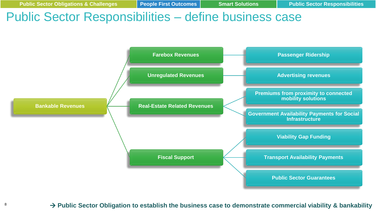## Public Sector Responsibilities – define business case



#### <sup>8</sup> Public Sector Obligation to establish the business case to demonstrate commercial viability & bankability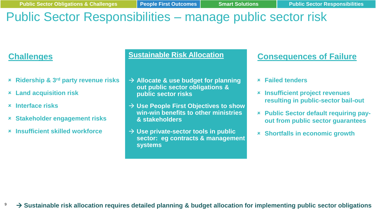## Public Sector Responsibilities – manage public sector risk

## **Challenges**

- **Huge funding requirements Ridership & 3rd party revenue risks**
- **Early target dates Land acquisition risk**
- **requiring prompt mobilisation Interface risks**
- **Stakeholder engagement risks**
- **Insufficient skilled workforce**

#### **Sustainable Risk Allocation**

- **Allocate & use budget for planning out public sector obligations & public sector risks**
- **Use People First Objectives to show win-win benefits to other ministries & stakeholders**
- **Use private-sector tools in public sector: eg contracts & management systems**

## **Consequences of Failure**

- **Failed tenders**
- **Insufficient project revenues resulting in public-sector bail-out**
- **Public Sector default requiring payout from public sector guarantees**
- **Shortfalls in economic growth**

**Sustainable risk allocation requires detailed planning & budget allocation for implementing public sector obligations** <sup>9</sup>